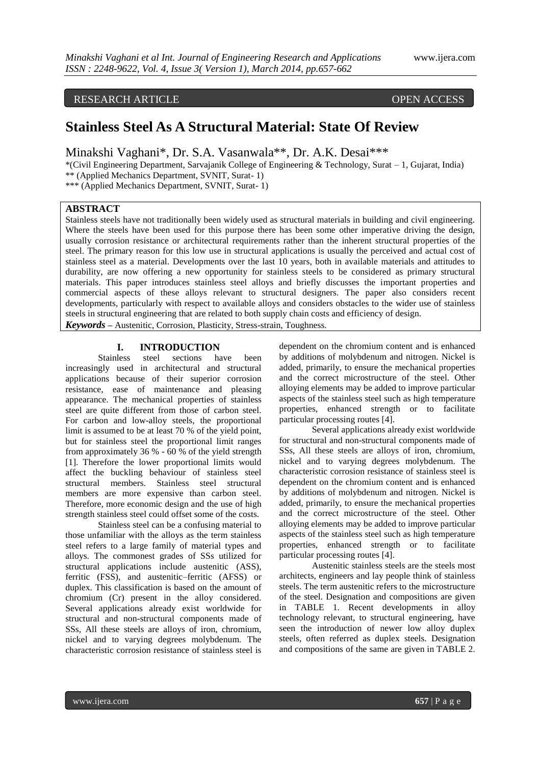# RESEARCH ARTICLE OPEN ACCESS

# **Stainless Steel As A Structural Material: State Of Review**

Minakshi Vaghani\*, Dr. S.A. Vasanwala\*\*, Dr. A.K. Desai\*\*\*

\*(Civil Engineering Department, Sarvajanik College of Engineering & Technology, Surat – 1, Gujarat, India) \*\* (Applied Mechanics Department, SVNIT, Surat- 1)

\*\*\* (Applied Mechanics Department, SVNIT, Surat- 1)

# **ABSTRACT**

Stainless steels have not traditionally been widely used as structural materials in building and civil engineering. Where the steels have been used for this purpose there has been some other imperative driving the design, usually corrosion resistance or architectural requirements rather than the inherent structural properties of the steel. The primary reason for this low use in structural applications is usually the perceived and actual cost of stainless steel as a material. Developments over the last 10 years, both in available materials and attitudes to durability, are now offering a new opportunity for stainless steels to be considered as primary structural materials. This paper introduces stainless steel alloys and briefly discusses the important properties and commercial aspects of these alloys relevant to structural designers. The paper also considers recent developments, particularly with respect to available alloys and considers obstacles to the wider use of stainless steels in structural engineering that are related to both supply chain costs and efficiency of design.

*Keywords* **–** Austenitic, Corrosion, Plasticity, Stress-strain, Toughness.

## **I. INTRODUCTION**

Stainless steel sections have been increasingly used in architectural and structural applications because of their superior corrosion resistance, ease of maintenance and pleasing appearance. The mechanical properties of stainless steel are quite different from those of carbon steel. For carbon and low-alloy steels, the proportional limit is assumed to be at least 70 % of the yield point, but for stainless steel the proportional limit ranges from approximately 36 % - 60 % of the yield strength [1]. Therefore the lower proportional limits would affect the buckling behaviour of stainless steel structural members. Stainless steel structural members are more expensive than carbon steel. Therefore, more economic design and the use of high strength stainless steel could offset some of the costs.

Stainless steel can be a confusing material to those unfamiliar with the alloys as the term stainless steel refers to a large family of material types and alloys. The commonest grades of SSs utilized for structural applications include austenitic (ASS), ferritic (FSS), and austenitic–ferritic (AFSS) or duplex. This classification is based on the amount of chromium (Cr) present in the alloy considered. Several applications already exist worldwide for structural and non-structural components made of SSs, All these steels are alloys of iron, chromium, nickel and to varying degrees molybdenum. The characteristic corrosion resistance of stainless steel is

dependent on the chromium content and is enhanced by additions of molybdenum and nitrogen. Nickel is added, primarily, to ensure the mechanical properties and the correct microstructure of the steel. Other alloying elements may be added to improve particular aspects of the stainless steel such as high temperature properties, enhanced strength or to facilitate particular processing routes [4].

Several applications already exist worldwide for structural and non-structural components made of SSs, All these steels are alloys of iron, chromium, nickel and to varying degrees molybdenum. The characteristic corrosion resistance of stainless steel is dependent on the chromium content and is enhanced by additions of molybdenum and nitrogen. Nickel is added, primarily, to ensure the mechanical properties and the correct microstructure of the steel. Other alloying elements may be added to improve particular aspects of the stainless steel such as high temperature properties, enhanced strength or to facilitate particular processing routes [4].

Austenitic stainless steels are the steels most architects, engineers and lay people think of stainless steels. The term austenitic refers to the microstructure of the steel. Designation and compositions are given in TABLE 1. Recent developments in alloy technology relevant, to structural engineering, have seen the introduction of newer low alloy duplex steels, often referred as duplex steels. Designation and compositions of the same are given in TABLE 2.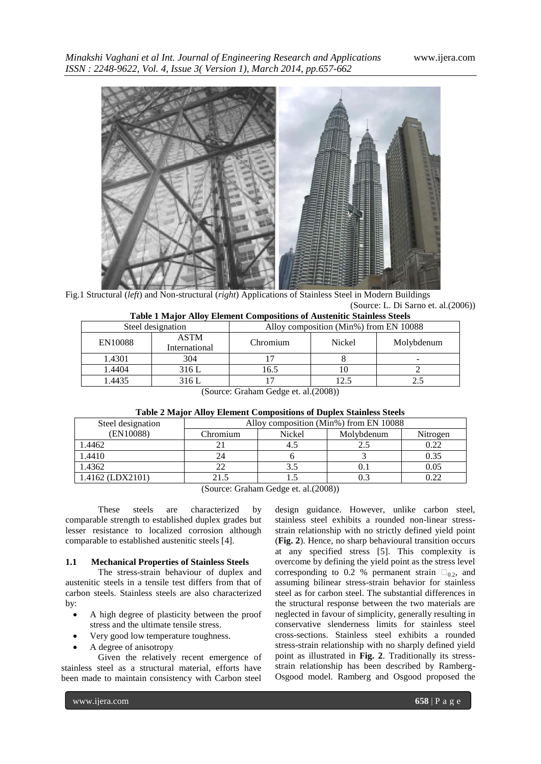*Minakshi Vaghani et al Int. Journal of Engineering Research and Applications* www.ijera.com *ISSN : 2248-9622, Vol. 4, Issue 3( Version 1), March 2014, pp.657-662*



Fig.1 Structural (*left*) and Non-structural (*right*) Applications of Stainless Steel in Modern Buildings (Source: L. Di Sarno et. al.(2006))

| <b>Table 1 Major Alloy Element Compositions of Austenitic Stainless Steels</b> |                              |                                        |        |            |  |  |
|--------------------------------------------------------------------------------|------------------------------|----------------------------------------|--------|------------|--|--|
| Steel designation                                                              |                              | Alloy composition (Min%) from EN 10088 |        |            |  |  |
| EN10088                                                                        | <b>ASTM</b><br>International | Chromium                               | Nickel | Molybdenum |  |  |
| 1.4301                                                                         | 304                          |                                        |        |            |  |  |
| 1.4404                                                                         | 316 L                        | 16.5                                   |        |            |  |  |
| 1.4435                                                                         | 316 L                        |                                        | 12.5   |            |  |  |

(Source: Graham Gedge et. al.(2008))

| Table 2 Major Alloy Element Compositions of Duplex Stainless Steels |
|---------------------------------------------------------------------|
|---------------------------------------------------------------------|

| Steel designation  | Alloy composition (Min%) from EN 10088 |                      |            |          |
|--------------------|----------------------------------------|----------------------|------------|----------|
| (EN10088)          | Chromium                               | Nickel               | Molybdenum | Nitrogen |
| 1.4462             |                                        |                      |            | 0.22     |
| 1.4410             | 24                                     |                      |            | 0.35     |
| 1.4362             |                                        |                      |            | 0.05     |
| $1.4162$ (LDX2101) | 21.5                                   |                      |            | 0.22     |
|                    | $\sim$<br>$\sim$ $\sim$                | $\alpha$ i isolative |            |          |

(Source: Graham Gedge et. al.(2008))

These steels are characterized by comparable strength to established duplex grades but lesser resistance to localized corrosion although comparable to established austenitic steels [4].

#### **1.1 Mechanical Properties of Stainless Steels**

The stress-strain behaviour of duplex and austenitic steels in a tensile test differs from that of carbon steels. Stainless steels are also characterized by:

- A high degree of plasticity between the proof stress and the ultimate tensile stress.
- Very good low temperature toughness.
- A degree of anisotropy

Given the relatively recent emergence of stainless steel as a structural material, efforts have been made to maintain consistency with Carbon steel

design guidance. However, unlike carbon steel, stainless steel exhibits a rounded non-linear stressstrain relationship with no strictly defined yield point (**Fig. 2**). Hence, no sharp behavioural transition occurs at any specified stress [5]. This complexity is overcome by defining the yield point as the stress level corresponding to 0.2 % permanent strain  $\square_{0,2}$ , and assuming bilinear stress-strain behavior for stainless steel as for carbon steel. The substantial differences in the structural response between the two materials are neglected in favour of simplicity, generally resulting in conservative slenderness limits for stainless steel cross-sections. Stainless steel exhibits a rounded stress-strain relationship with no sharply defined yield point as illustrated in **Fig. 2**. Traditionally its stressstrain relationship has been described by Ramberg-Osgood model. Ramberg and Osgood proposed the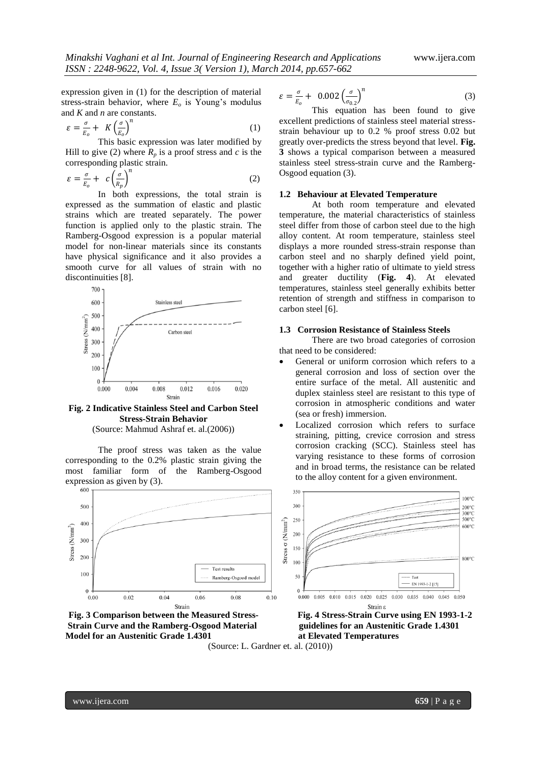expression given in (1) for the description of material stress-strain behavior, where  $E<sub>o</sub>$  is Young's modulus and *K* and *n* are constants.

$$
\varepsilon = \frac{\sigma}{E_o} + K \left(\frac{\sigma}{E_o}\right)^n \tag{1}
$$

This basic expression was later modified by Hill to give (2) where  $R_p$  is a proof stress and  $c$  is the corresponding plastic strain.

$$
\varepsilon = \frac{\sigma}{E_o} + c \left( \frac{\sigma}{R_p} \right)^n \tag{2}
$$

In both expressions, the total strain is expressed as the summation of elastic and plastic strains which are treated separately. The power function is applied only to the plastic strain. The Ramberg-Osgood expression is a popular material model for non-linear materials since its constants have physical significance and it also provides a smooth curve for all values of strain with no discontinuities [8].



**Fig. 2 Indicative Stainless Steel and Carbon Steel Stress-Strain Behavior**

(Source: Mahmud Ashraf et. al.(2006))

The proof stress was taken as the value corresponding to the 0.2% plastic strain giving the most familiar form of the Ramberg-Osgood expression as given by (3).







$$
\varepsilon = \frac{\sigma}{E_o} + 0.002 \left(\frac{\sigma}{\sigma_{0.2}}\right)^n \tag{3}
$$

This equation has been found to give excellent predictions of stainless steel material stressstrain behaviour up to 0.2 % proof stress 0.02 but greatly over-predicts the stress beyond that level. **Fig. 3** shows a typical comparison between a measured stainless steel stress-strain curve and the Ramberg-Osgood equation (3).

#### **1.2 Behaviour at Elevated Temperature**

At both room temperature and elevated temperature, the material characteristics of stainless steel differ from those of carbon steel due to the high alloy content. At room temperature, stainless steel displays a more rounded stress-strain response than carbon steel and no sharply defined yield point, together with a higher ratio of ultimate to yield stress and greater ductility (**Fig. 4**). At elevated temperatures, stainless steel generally exhibits better retention of strength and stiffness in comparison to carbon steel [6].

# **1.3 Corrosion Resistance of Stainless Steels**

There are two broad categories of corrosion that need to be considered:

- General or uniform corrosion which refers to a general corrosion and loss of section over the entire surface of the metal. All austenitic and duplex stainless steel are resistant to this type of corrosion in atmospheric conditions and water (sea or fresh) immersion.
- Localized corrosion which refers to surface straining, pitting, crevice corrosion and stress corrosion cracking (SCC). Stainless steel has varying resistance to these forms of corrosion and in broad terms, the resistance can be related to the alloy content for a given environment.

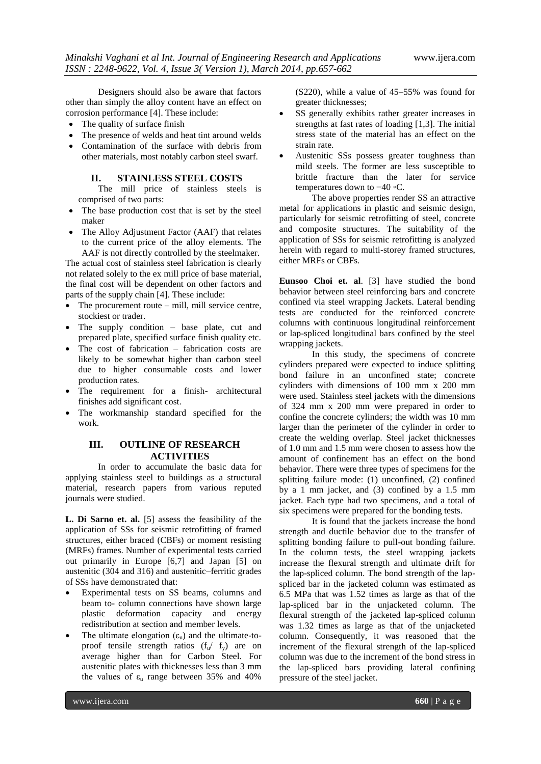Designers should also be aware that factors other than simply the alloy content have an effect on corrosion performance [4]. These include:

- The quality of surface finish
- The presence of welds and heat tint around welds
- Contamination of the surface with debris from other materials, most notably carbon steel swarf.

#### **II. STAINLESS STEEL COSTS**

The mill price of stainless steels is comprised of two parts:

- The base production cost that is set by the steel maker
- The Alloy Adjustment Factor (AAF) that relates to the current price of the alloy elements. The AAF is not directly controlled by the steelmaker.

The actual cost of stainless steel fabrication is clearly not related solely to the ex mill price of base material, the final cost will be dependent on other factors and parts of the supply chain [4]. These include:

- The procurement route mill, mill service centre, stockiest or trader.
- The supply condition base plate, cut and prepared plate, specified surface finish quality etc.
- The cost of fabrication fabrication costs are likely to be somewhat higher than carbon steel due to higher consumable costs and lower production rates.
- The requirement for a finish- architectural finishes add significant cost.
- The workmanship standard specified for the work.

# **III. OUTLINE OF RESEARCH ACTIVITIES**

In order to accumulate the basic data for applying stainless steel to buildings as a structural material, research papers from various reputed journals were studied.

**L. Di Sarno et. al.** [5] assess the feasibility of the application of SSs for seismic retrofitting of framed structures, either braced (CBFs) or moment resisting (MRFs) frames. Number of experimental tests carried out primarily in Europe [6,7] and Japan [5] on austenitic (304 and 316) and austenitic–ferritic grades of SSs have demonstrated that:

- Experimental tests on SS beams, columns and beam to- column connections have shown large plastic deformation capacity and energy redistribution at section and member levels.
- The ultimate elongation  $(\epsilon_{\rm u})$  and the ultimate-toproof tensile strength ratios  $(f_w / f_v)$  are on average higher than for Carbon Steel. For austenitic plates with thicknesses less than 3 mm the values of  $\varepsilon_{\text{u}}$  range between 35% and 40%

(S220), while a value of 45–55% was found for greater thicknesses;

- SS generally exhibits rather greater increases in strengths at fast rates of loading [1,3]. The initial stress state of the material has an effect on the strain rate.
- Austenitic SSs possess greater toughness than mild steels. The former are less susceptible to brittle fracture than the later for service temperatures down to −40 ◦C.

The above properties render SS an attractive metal for applications in plastic and seismic design, particularly for seismic retrofitting of steel, concrete and composite structures. The suitability of the application of SSs for seismic retrofitting is analyzed herein with regard to multi-storey framed structures, either MRFs or CBFs.

**Eunsoo Choi et. al**. [3] have studied the bond behavior between steel reinforcing bars and concrete confined via steel wrapping Jackets. Lateral bending tests are conducted for the reinforced concrete columns with continuous longitudinal reinforcement or lap-spliced longitudinal bars confined by the steel wrapping jackets.

In this study, the specimens of concrete cylinders prepared were expected to induce splitting bond failure in an unconfined state; concrete cylinders with dimensions of 100 mm x 200 mm were used. Stainless steel jackets with the dimensions of 324 mm x 200 mm were prepared in order to confine the concrete cylinders; the width was 10 mm larger than the perimeter of the cylinder in order to create the welding overlap. Steel jacket thicknesses of 1.0 mm and 1.5 mm were chosen to assess how the amount of confinement has an effect on the bond behavior. There were three types of specimens for the splitting failure mode: (1) unconfined, (2) confined by a 1 mm jacket, and (3) confined by a 1.5 mm jacket. Each type had two specimens, and a total of six specimens were prepared for the bonding tests.

It is found that the jackets increase the bond strength and ductile behavior due to the transfer of splitting bonding failure to pull-out bonding failure. In the column tests, the steel wrapping jackets increase the flexural strength and ultimate drift for the lap-spliced column. The bond strength of the lapspliced bar in the jacketed column was estimated as 6.5 MPa that was 1.52 times as large as that of the lap-spliced bar in the unjacketed column. The flexural strength of the jacketed lap-spliced column was 1.32 times as large as that of the unjacketed column. Consequently, it was reasoned that the increment of the flexural strength of the lap-spliced column was due to the increment of the bond stress in the lap-spliced bars providing lateral confining pressure of the steel jacket.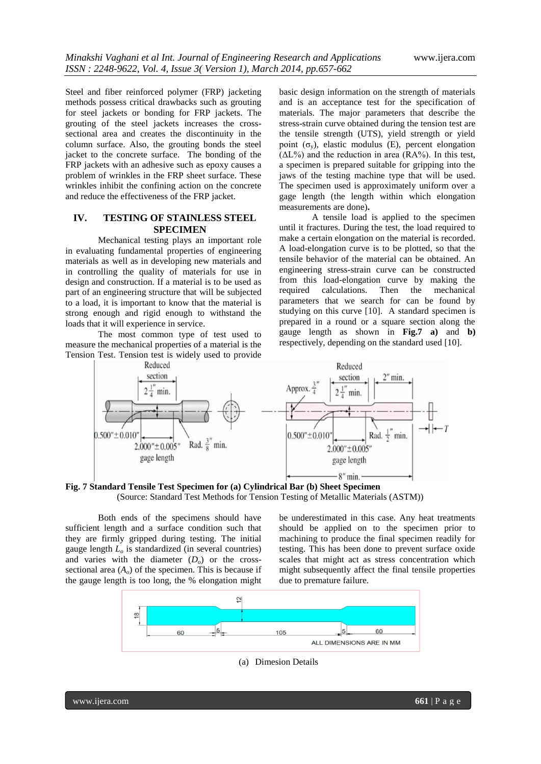Steel and fiber reinforced polymer (FRP) jacketing methods possess critical drawbacks such as grouting for steel jackets or bonding for FRP jackets. The grouting of the steel jackets increases the crosssectional area and creates the discontinuity in the column surface. Also, the grouting bonds the steel jacket to the concrete surface. The bonding of the FRP jackets with an adhesive such as epoxy causes a problem of wrinkles in the FRP sheet surface. These wrinkles inhibit the confining action on the concrete and reduce the effectiveness of the FRP jacket.

## **IV. TESTING OF STAINLESS STEEL SPECIMEN**

Mechanical testing plays an important role in evaluating fundamental properties of engineering materials as well as in developing new materials and in controlling the quality of materials for use in design and construction. If a material is to be used as part of an engineering structure that will be subjected to a load, it is important to know that the material is strong enough and rigid enough to withstand the loads that it will experience in service.

The most common type of test used to measure the mechanical properties of a material is the Tension Test. Tension test is widely used to provide

basic design information on the strength of materials and is an acceptance test for the specification of materials. The major parameters that describe the stress-strain curve obtained during the tension test are the tensile strength (UTS), yield strength or yield point  $(\sigma_v)$ , elastic modulus (E), percent elongation  $(AL\%)$  and the reduction in area  $(RA\%)$ . In this test, a specimen is prepared suitable for gripping into the jaws of the testing machine type that will be used. The specimen used is approximately uniform over a gage length (the length within which elongation measurements are done)**.**

A tensile load is applied to the specimen until it fractures. During the test, the load required to make a certain elongation on the material is recorded. A load-elongation curve is to be plotted, so that the tensile behavior of the material can be obtained. An engineering stress-strain curve can be constructed from this load-elongation curve by making the required calculations. Then the mechanical parameters that we search for can be found by studying on this curve [10]. A standard specimen is prepared in a round or a square section along the gauge length as shown in **Fig.7 a)** and **b)** respectively, depending on the standard used [10].



**Fig. 7 Standard Tensile Test Specimen for (a) Cylindrical Bar (b) Sheet Specimen** (Source: Standard Test Methods for Tension Testing of Metallic Materials (ASTM))

Both ends of the specimens should have sufficient length and a surface condition such that they are firmly gripped during testing. The initial gauge length *L<sup>o</sup>* is standardized (in several countries) and varies with the diameter  $(D<sub>o</sub>)$  or the crosssectional area  $(A<sub>o</sub>)$  of the specimen. This is because if the gauge length is too long, the % elongation might

be underestimated in this case. Any heat treatments should be applied on to the specimen prior to machining to produce the final specimen readily for testing. This has been done to prevent surface oxide scales that might act as stress concentration which might subsequently affect the final tensile properties due to premature failure.



(a) Dimesion Details